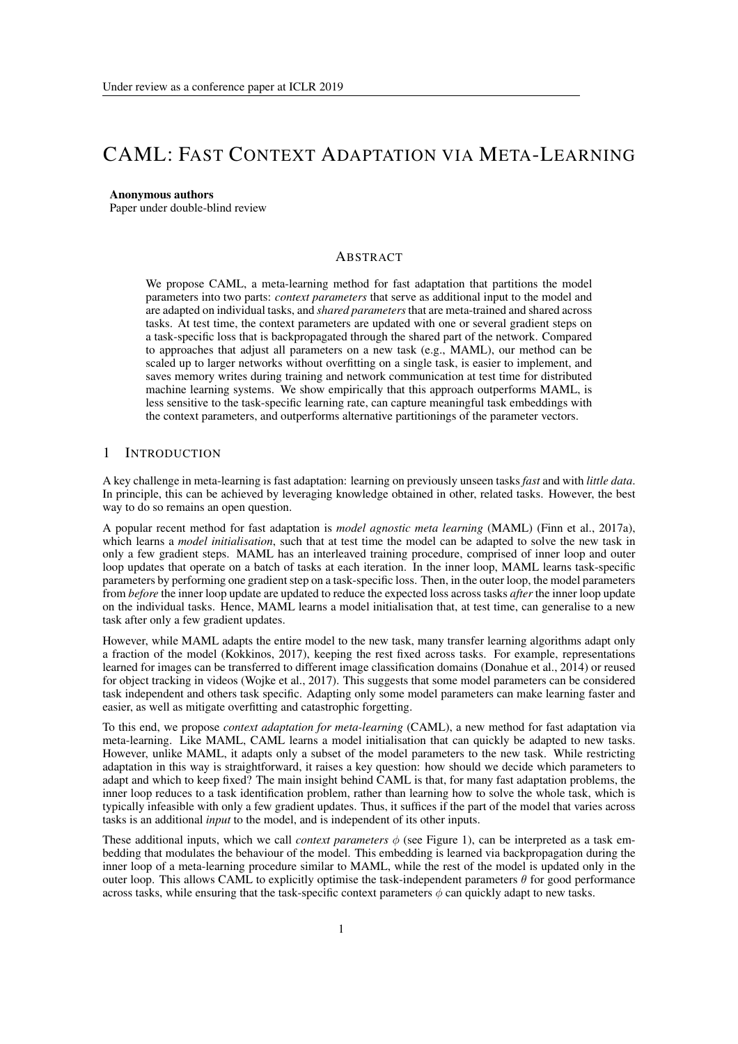# CAML: FAST CONTEXT ADAPTATION VIA META-LEARNING

#### Anonymous authors

Paper under double-blind review

#### **ABSTRACT**

We propose CAML, a meta-learning method for fast adaptation that partitions the model parameters into two parts: *context parameters* that serve as additional input to the model and are adapted on individual tasks, and *shared parameters* that are meta-trained and shared across tasks. At test time, the context parameters are updated with one or several gradient steps on a task-specific loss that is backpropagated through the shared part of the network. Compared to approaches that adjust all parameters on a new task (e.g., MAML), our method can be scaled up to larger networks without overfitting on a single task, is easier to implement, and saves memory writes during training and network communication at test time for distributed machine learning systems. We show empirically that this approach outperforms MAML, is less sensitive to the task-specific learning rate, can capture meaningful task embeddings with the context parameters, and outperforms alternative partitionings of the parameter vectors.

# 1 INTRODUCTION

A key challenge in meta-learning is fast adaptation: learning on previously unseen tasks *fast* and with *little data*. In principle, this can be achieved by leveraging knowledge obtained in other, related tasks. However, the best way to do so remains an open question.

A popular recent method for fast adaptation is *model agnostic meta learning* (MAML) (Finn et al., 2017a), which learns a *model initialisation*, such that at test time the model can be adapted to solve the new task in only a few gradient steps. MAML has an interleaved training procedure, comprised of inner loop and outer loop updates that operate on a batch of tasks at each iteration. In the inner loop, MAML learns task-specific parameters by performing one gradient step on a task-specific loss. Then, in the outer loop, the model parameters from *before* the inner loop update are updated to reduce the expected loss across tasks *after* the inner loop update on the individual tasks. Hence, MAML learns a model initialisation that, at test time, can generalise to a new task after only a few gradient updates.

However, while MAML adapts the entire model to the new task, many transfer learning algorithms adapt only a fraction of the model (Kokkinos, 2017), keeping the rest fixed across tasks. For example, representations learned for images can be transferred to different image classification domains (Donahue et al., 2014) or reused for object tracking in videos (Wojke et al., 2017). This suggests that some model parameters can be considered task independent and others task specific. Adapting only some model parameters can make learning faster and easier, as well as mitigate overfitting and catastrophic forgetting.

To this end, we propose *context adaptation for meta-learning* (CAML), a new method for fast adaptation via meta-learning. Like MAML, CAML learns a model initialisation that can quickly be adapted to new tasks. However, unlike MAML, it adapts only a subset of the model parameters to the new task. While restricting adaptation in this way is straightforward, it raises a key question: how should we decide which parameters to adapt and which to keep fixed? The main insight behind CAML is that, for many fast adaptation problems, the inner loop reduces to a task identification problem, rather than learning how to solve the whole task, which is typically infeasible with only a few gradient updates. Thus, it suffices if the part of the model that varies across tasks is an additional *input* to the model, and is independent of its other inputs.

These additional inputs, which we call *context parameters*  $\phi$  (see Figure 1), can be interpreted as a task embedding that modulates the behaviour of the model. This embedding is learned via backpropagation during the inner loop of a meta-learning procedure similar to MAML, while the rest of the model is updated only in the outer loop. This allows CAML to explicitly optimise the task-independent parameters  $\theta$  for good performance across tasks, while ensuring that the task-specific context parameters  $\phi$  can quickly adapt to new tasks.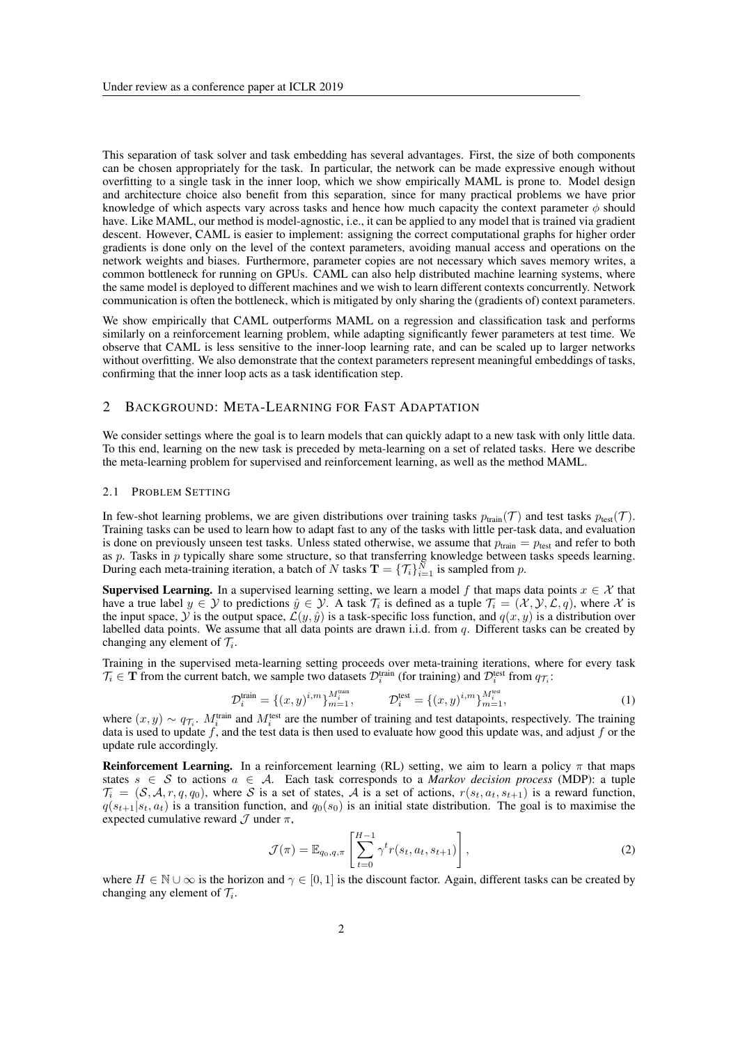This separation of task solver and task embedding has several advantages. First, the size of both components can be chosen appropriately for the task. In particular, the network can be made expressive enough without overfitting to a single task in the inner loop, which we show empirically MAML is prone to. Model design and architecture choice also benefit from this separation, since for many practical problems we have prior knowledge of which aspects vary across tasks and hence how much capacity the context parameter  $\phi$  should have. Like MAML, our method is model-agnostic, i.e., it can be applied to any model that is trained via gradient descent. However, CAML is easier to implement: assigning the correct computational graphs for higher order gradients is done only on the level of the context parameters, avoiding manual access and operations on the network weights and biases. Furthermore, parameter copies are not necessary which saves memory writes, a common bottleneck for running on GPUs. CAML can also help distributed machine learning systems, where the same model is deployed to different machines and we wish to learn different contexts concurrently. Network communication is often the bottleneck, which is mitigated by only sharing the (gradients of) context parameters.

We show empirically that CAML outperforms MAML on a regression and classification task and performs similarly on a reinforcement learning problem, while adapting significantly fewer parameters at test time. We observe that CAML is less sensitive to the inner-loop learning rate, and can be scaled up to larger networks without overfitting. We also demonstrate that the context parameters represent meaningful embeddings of tasks, confirming that the inner loop acts as a task identification step.

# 2 BACKGROUND: META-LEARNING FOR FAST ADAPTATION

We consider settings where the goal is to learn models that can quickly adapt to a new task with only little data. To this end, learning on the new task is preceded by meta-learning on a set of related tasks. Here we describe the meta-learning problem for supervised and reinforcement learning, as well as the method MAML.

#### 2.1 PROBLEM SETTING

In few-shot learning problems, we are given distributions over training tasks  $p_{\text{train}}(\mathcal{T})$  and test tasks  $p_{\text{test}}(\mathcal{T})$ . Training tasks can be used to learn how to adapt fast to any of the tasks with little per-task data, and evaluation is done on previously unseen test tasks. Unless stated otherwise, we assume that  $p_{\text{train}} = p_{\text{test}}$  and refer to both as *p*. Tasks in *p* typically share some structure, so that transferring knowledge between tasks speeds learning. During each meta-training iteration, a batch of *N* tasks  $\mathbf{T} = \{\mathcal{T}_i\}_{i=1}^N$  is sampled from *p*.

**Supervised Learning.** In a supervised learning setting, we learn a model f that maps data points  $x \in \mathcal{X}$  that have a true label  $y \in \mathcal{Y}$  to predictions  $\hat{y} \in \mathcal{Y}$ . A task  $\mathcal{T}_i$  is defined as a tuple  $\mathcal{T}_i = (\mathcal{X}, \mathcal{Y}, \mathcal{L}, q)$ , where  $\mathcal{X}$  is the input space,  $\hat{y}$  is the output space,  $\hat{L}(y, \hat{y})$  is a task-specific loss function, and  $q(x, y)$  is a distribution over labelled data points. We assume that all data points are drawn i.i.d. from *q*. Different tasks can be created by changing any element of  $\mathcal{T}_i$ .

Training in the supervised meta-learning setting proceeds over meta-training iterations, where for every task  $\mathcal{T}_i \in \mathbf{T}$  from the current batch, we sample two datasets  $\mathcal{D}_i^{\text{train}}$  (for training) and  $\mathcal{D}_i^{\text{test}}$  from  $q_{\mathcal{T}_i}$ :

$$
\mathcal{D}_i^{\text{train}} = \{ (x, y)^{i, m} \}_{m=1}^{M_i^{\text{train}}}, \qquad \mathcal{D}_i^{\text{test}} = \{ (x, y)^{i, m} \}_{m=1}^{M_i^{\text{test}}},
$$
\n(1)

where  $(x, y) \sim q_{\mathcal{T}_i}$ .  $M_i^{\text{train}}$  and  $M_i^{\text{test}}$  are the number of training and test datapoints, respectively. The training data is used to update *f*, and the test data is then used to evaluate how good this update was, and adjust *f* or the update rule accordingly.

**Reinforcement Learning.** In a reinforcement learning (RL) setting, we aim to learn a policy  $\pi$  that maps states  $s \in S$  to actions  $a \in A$ . Each task corresponds to a *Markov decision process* (MDP): a tuple  $\mathcal{T}_i = (\mathcal{S}, \mathcal{A}, r, q, q_0)$ , where *S* is a set of states, *A* is a set of actions,  $r(s_t, a_t, s_{t+1})$  is a reward function,  $q(s_{t+1}|s_t, a_t)$  is a transition function, and  $q_0(s_0)$  is an initial state distribution. The goal is to maximise the expected cumulative reward  $\mathcal J$  under  $\pi$ ,

$$
\mathcal{J}(\pi) = \mathbb{E}_{q_0, q, \pi} \left[ \sum_{t=0}^{H-1} \gamma^t r(s_t, a_t, s_{t+1}) \right], \qquad (2)
$$

where  $H \in \mathbb{N} \cup \infty$  is the horizon and  $\gamma \in [0, 1]$  is the discount factor. Again, different tasks can be created by changing any element of  $\mathcal{T}_i$ .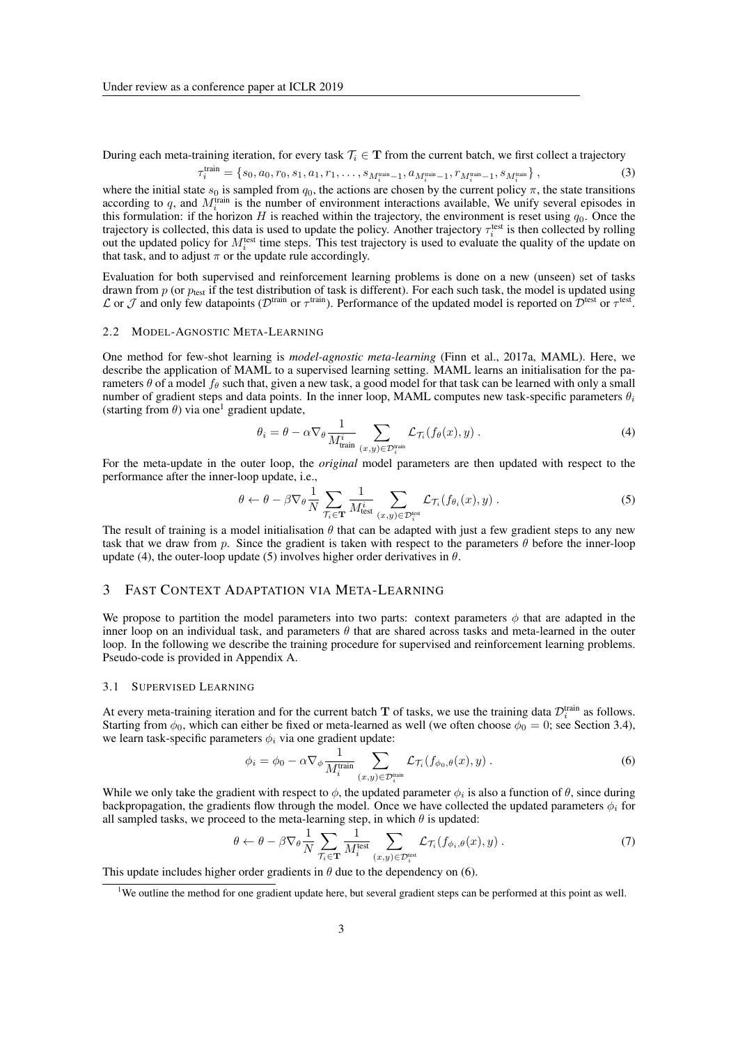During each meta-training iteration, for every task  $T_i \in \mathbf{T}$  from the current batch, we first collect a trajectory

$$
\tau_i^{\text{train}} = \{s_0, a_0, r_0, s_1, a_1, r_1, \dots, s_{M_i^{\text{train}} - 1}, a_{M_i^{\text{train}} - 1}, r_{M_i^{\text{train}} - 1}, s_{M_i^{\text{train}}}\},\tag{3}
$$

where the initial state  $s_0$  is sampled from  $q_0$ , the actions are chosen by the current policy  $\pi$ , the state transitions according to  $q$ , and  $M_i^{\text{train}}$  is the number of environment interactions available, We unify several episodes in this formulation: if the horizon *H* is reached within the trajectory, the environment is reset using  $q_0$ . Once the trajectory is collected, this data is used to update the policy. Another trajectory  $\tau_i^{\text{test}}$  is then collected by rolling out the updated policy for  $M_i^{\text{test}}$  time steps. This test trajectory is used to evaluate the quality of the update on that task, and to adjust  $\pi$  or the update rule accordingly.

Evaluation for both supervised and reinforcement learning problems is done on a new (unseen) set of tasks drawn from  $p$  (or  $p_{test}$  if the test distribution of task is different). For each such task, the model is updated using  $\mathcal L$  or  $\mathcal J$  and only few datapoints ( $\mathcal D^{\text{train}}$  or  $\tau^{\text{train}}$ ). Performance of the updated model is reported on  $\mathcal D^{\text{test}}$  or  $\tau^{\text{test}}$ .

#### 2.2 MODEL-AGNOSTIC META-LEARNING

One method for few-shot learning is *model-agnostic meta-learning* (Finn et al., 2017a, MAML). Here, we describe the application of MAML to a supervised learning setting. MAML learns an initialisation for the parameters  $\theta$  of a model  $f_\theta$  such that, given a new task, a good model for that task can be learned with only a small number of gradient steps and data points. In the inner loop, MAML computes new task-specific parameters  $\theta_i$ (starting from  $\theta$ ) via one<sup>1</sup> gradient update,

$$
\theta_i = \theta - \alpha \nabla_{\theta} \frac{1}{M_{\text{train}}^i} \sum_{(x,y) \in \mathcal{D}_i^{\text{train}}} \mathcal{L}_{\mathcal{T}_i}(f_{\theta}(x), y) . \tag{4}
$$

For the meta-update in the outer loop, the *original* model parameters are then updated with respect to the performance after the inner-loop update, i.e.,

$$
\theta \leftarrow \theta - \beta \nabla_{\theta} \frac{1}{N} \sum_{\mathcal{T}_i \in \mathbf{T}} \frac{1}{M_{\text{test}}^i} \sum_{(x,y) \in \mathcal{D}_i^{\text{test}}} \mathcal{L}_{\mathcal{T}_i}(f_{\theta_i}(x), y) .
$$
 (5)

The result of training is a model initialisation  $\theta$  that can be adapted with just a few gradient steps to any new task that we draw from *p*. Since the gradient is taken with respect to the parameters  $\theta$  before the inner-loop update (4), the outer-loop update (5) involves higher order derivatives in  $\theta$ .

#### 3 FAST CONTEXT ADAPTATION VIA META-LEARNING

We propose to partition the model parameters into two parts: context parameters  $\phi$  that are adapted in the inner loop on an individual task, and parameters  $\theta$  that are shared across tasks and meta-learned in the outer loop. In the following we describe the training procedure for supervised and reinforcement learning problems. Pseudo-code is provided in Appendix A.

#### 3.1 SUPERVISED LEARNING

At every meta-training iteration and for the current batch  $T$  of tasks, we use the training data  $\mathcal{D}_i^{\text{train}}$  as follows. Starting from  $\phi_0$ , which can either be fixed or meta-learned as well (we often choose  $\phi_0 = 0$ ; see Section 3.4), we learn task-specific parameters  $\phi_i$  via one gradient update:

$$
\phi_i = \phi_0 - \alpha \nabla_{\phi} \frac{1}{M_i^{\text{train}}} \sum_{(x,y) \in \mathcal{D}_i^{\text{train}}} \mathcal{L}_{\mathcal{T}_i}(f_{\phi_0, \theta}(x), y) . \tag{6}
$$

While we only take the gradient with respect to  $\phi$ , the updated parameter  $\phi_i$  is also a function of  $\theta$ , since during backpropagation, the gradients flow through the model. Once we have collected the updated parameters  $\phi_i$  for all sampled tasks, we proceed to the meta-learning step, in which  $\theta$  is updated:

$$
\theta \leftarrow \theta - \beta \nabla_{\theta} \frac{1}{N} \sum_{\mathcal{T}_i \in \mathbf{T}} \frac{1}{M_i^{\text{test}}} \sum_{(x,y) \in \mathcal{D}_i^{\text{test}}} \mathcal{L}_{\mathcal{T}_i}(f_{\phi_i, \theta}(x), y) . \tag{7}
$$

This update includes higher order gradients in  $\theta$  due to the dependency on (6).

<sup>&</sup>lt;sup>1</sup>We outline the method for one gradient update here, but several gradient steps can be performed at this point as well.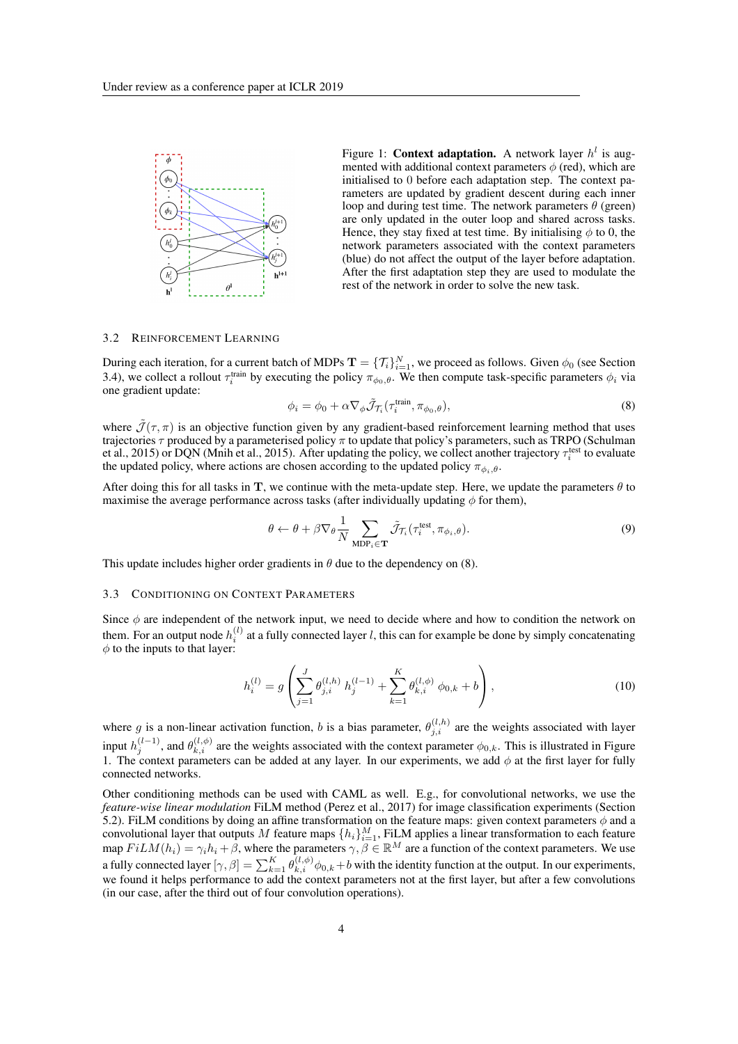

Figure 1: **Context adaptation.** A network layer  $h^l$  is augmented with additional context parameters  $\phi$  (red), which are initialised to 0 before each adaptation step. The context parameters are updated by gradient descent during each inner loop and during test time. The network parameters  $\theta$  (green) are only updated in the outer loop and shared across tasks. Hence, they stay fixed at test time. By initialising  $\phi$  to 0, the network parameters associated with the context parameters (blue) do not affect the output of the layer before adaptation. After the first adaptation step they are used to modulate the rest of the network in order to solve the new task.

#### 3.2 REINFORCEMENT LEARNING

During each iteration, for a current batch of MDPs  $\mathbf{T} = \{\mathcal{T}_i\}_{i=1}^N$ , we proceed as follows. Given  $\phi_0$  (see Section 3.4), we collect a rollout  $\tau_i^{\text{train}}$  by executing the policy  $\pi_{\phi_0,\theta}$ . We then compute task-specific parameters  $\phi_i$  via one gradient update:

$$
\phi_i = \phi_0 + \alpha \nabla_\phi \tilde{\mathcal{J}}_{\mathcal{T}_i}(\tau_i^{\text{train}}, \pi_{\phi_0, \theta}), \tag{8}
$$

where  $\tilde{J}(\tau,\pi)$  is an objective function given by any gradient-based reinforcement learning method that uses trajectories  $\tau$  produced by a parameterised policy  $\pi$  to update that policy's parameters, such as TRPO (Schulman et al., 2015) or DQN (Mnih et al., 2015). After updating the policy, we collect another trajectory  $\tau_i^{\text{test}}$  to evaluate the updated policy, where actions are chosen according to the updated policy  $\pi_{\phi_i, \theta}$ .

After doing this for all tasks in T, we continue with the meta-update step. Here, we update the parameters  $\theta$  to maximise the average performance across tasks (after individually updating  $\phi$  for them),

$$
\theta \leftarrow \theta + \beta \nabla_{\theta} \frac{1}{N} \sum_{\text{MDP}_{i} \in \mathbf{T}} \tilde{\mathcal{J}}_{\mathcal{T}_{i}}(\tau_{i}^{\text{test}}, \pi_{\phi_{i}, \theta}). \tag{9}
$$

This update includes higher order gradients in  $\theta$  due to the dependency on (8).

#### 3.3 CONDITIONING ON CONTEXT PARAMETERS

Since  $\phi$  are independent of the network input, we need to decide where and how to condition the network on them. For an output node  $h_i^{(l)}$  at a fully connected layer *l*, this can for example be done by simply concatenating  $\phi$  to the inputs to that layer:

$$
h_i^{(l)} = g\left(\sum_{j=1}^J \theta_{j,i}^{(l,h)} h_j^{(l-1)} + \sum_{k=1}^K \theta_{k,i}^{(l,\phi)} \phi_{0,k} + b\right),\tag{10}
$$

where g is a non-linear activation function, b is a bias parameter,  $\theta_{j,i}^{(l,h)}$  are the weights associated with layer input  $h_j^{(l-1)}$ , and  $\theta_{k,i}^{(l,\phi)}$  are the weights associated with the context parameter  $\phi_{0,k}$ . This is illustrated in Figure 1. The context parameters can be added at any layer. In our experiments, we add  $\phi$  at the first layer for fully connected networks.

Other conditioning methods can be used with CAML as well. E.g., for convolutional networks, we use the *feature-wise linear modulation* FiLM method (Perez et al., 2017) for image classification experiments (Section 5.2). FiLM conditions by doing an affine transformation on the feature maps: given context parameters  $\phi$  and a convolutional layer that outputs *M* feature maps  $\{h_i\}_{i=1}^M$ , FiLM applies a linear transformation to each feature map  $FilM(h_i) = \gamma_i h_i + \beta$ , where the parameters  $\gamma, \beta \in \mathbb{R}^M$  are a function of the context parameters. We use a fully connected layer  $[\gamma, \beta] = \sum_{k=1}^{K} \theta_{k,i}^{(l,\phi)} \phi_{0,k} + b$  with the identity function at the output. In our experiments, we found it helps performance to add the context parameters not at the first layer, but after a few convolutions (in our case, after the third out of four convolution operations).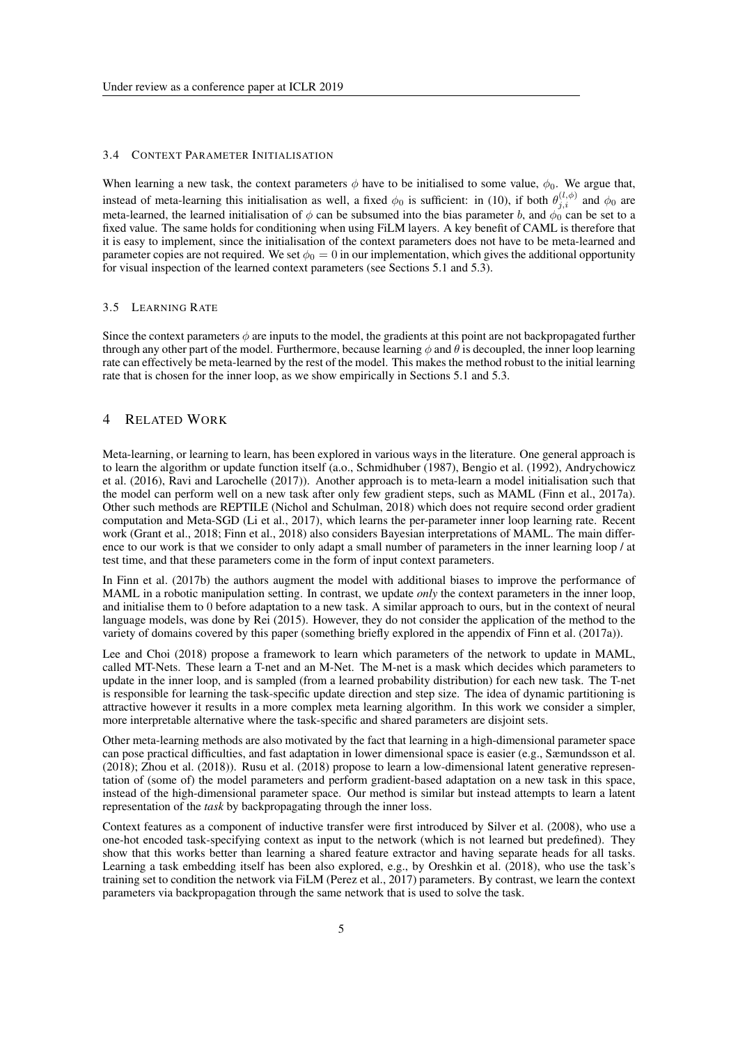#### 3.4 CONTEXT PARAMETER INITIALISATION

When learning a new task, the context parameters  $\phi$  have to be initialised to some value,  $\phi_0$ . We argue that, instead of meta-learning this initialisation as well, a fixed  $\phi_0$  is sufficient: in (10), if both  $\theta_{j,i}^{(l,\phi)}$  and  $\phi_0$  are meta-learned, the learned initialisation of  $\phi$  can be subsumed into the bias parameter *b*, and  $\phi_0$  can be set to a fixed value. The same holds for conditioning when using FiLM layers. A key benefit of CAML is therefore that it is easy to implement, since the initialisation of the context parameters does not have to be meta-learned and parameter copies are not required. We set  $\phi_0 = 0$  in our implementation, which gives the additional opportunity for visual inspection of the learned context parameters (see Sections 5.1 and 5.3).

#### 3.5 LEARNING RATE

Since the context parameters  $\phi$  are inputs to the model, the gradients at this point are not backpropagated further through any other part of the model. Furthermore, because learning  $\phi$  and  $\theta$  is decoupled, the inner loop learning rate can effectively be meta-learned by the rest of the model. This makes the method robust to the initial learning rate that is chosen for the inner loop, as we show empirically in Sections 5.1 and 5.3.

## 4 RELATED WORK

Meta-learning, or learning to learn, has been explored in various ways in the literature. One general approach is to learn the algorithm or update function itself (a.o., Schmidhuber (1987), Bengio et al. (1992), Andrychowicz et al. (2016), Ravi and Larochelle (2017)). Another approach is to meta-learn a model initialisation such that the model can perform well on a new task after only few gradient steps, such as MAML (Finn et al., 2017a). Other such methods are REPTILE (Nichol and Schulman, 2018) which does not require second order gradient computation and Meta-SGD (Li et al., 2017), which learns the per-parameter inner loop learning rate. Recent work (Grant et al., 2018; Finn et al., 2018) also considers Bayesian interpretations of MAML. The main difference to our work is that we consider to only adapt a small number of parameters in the inner learning loop / at test time, and that these parameters come in the form of input context parameters.

In Finn et al. (2017b) the authors augment the model with additional biases to improve the performance of MAML in a robotic manipulation setting. In contrast, we update *only* the context parameters in the inner loop, and initialise them to 0 before adaptation to a new task. A similar approach to ours, but in the context of neural language models, was done by Rei (2015). However, they do not consider the application of the method to the variety of domains covered by this paper (something briefly explored in the appendix of Finn et al. (2017a)).

Lee and Choi (2018) propose a framework to learn which parameters of the network to update in MAML, called MT-Nets. These learn a T-net and an M-Net. The M-net is a mask which decides which parameters to update in the inner loop, and is sampled (from a learned probability distribution) for each new task. The T-net is responsible for learning the task-specific update direction and step size. The idea of dynamic partitioning is attractive however it results in a more complex meta learning algorithm. In this work we consider a simpler, more interpretable alternative where the task-specific and shared parameters are disjoint sets.

Other meta-learning methods are also motivated by the fact that learning in a high-dimensional parameter space can pose practical difficulties, and fast adaptation in lower dimensional space is easier (e.g., Sæmundsson et al. (2018); Zhou et al. (2018)). Rusu et al. (2018) propose to learn a low-dimensional latent generative representation of (some of) the model parameters and perform gradient-based adaptation on a new task in this space, instead of the high-dimensional parameter space. Our method is similar but instead attempts to learn a latent representation of the *task* by backpropagating through the inner loss.

Context features as a component of inductive transfer were first introduced by Silver et al. (2008), who use a one-hot encoded task-specifying context as input to the network (which is not learned but predefined). They show that this works better than learning a shared feature extractor and having separate heads for all tasks. Learning a task embedding itself has been also explored, e.g., by Oreshkin et al. (2018), who use the task's training set to condition the network via FiLM (Perez et al., 2017) parameters. By contrast, we learn the context parameters via backpropagation through the same network that is used to solve the task.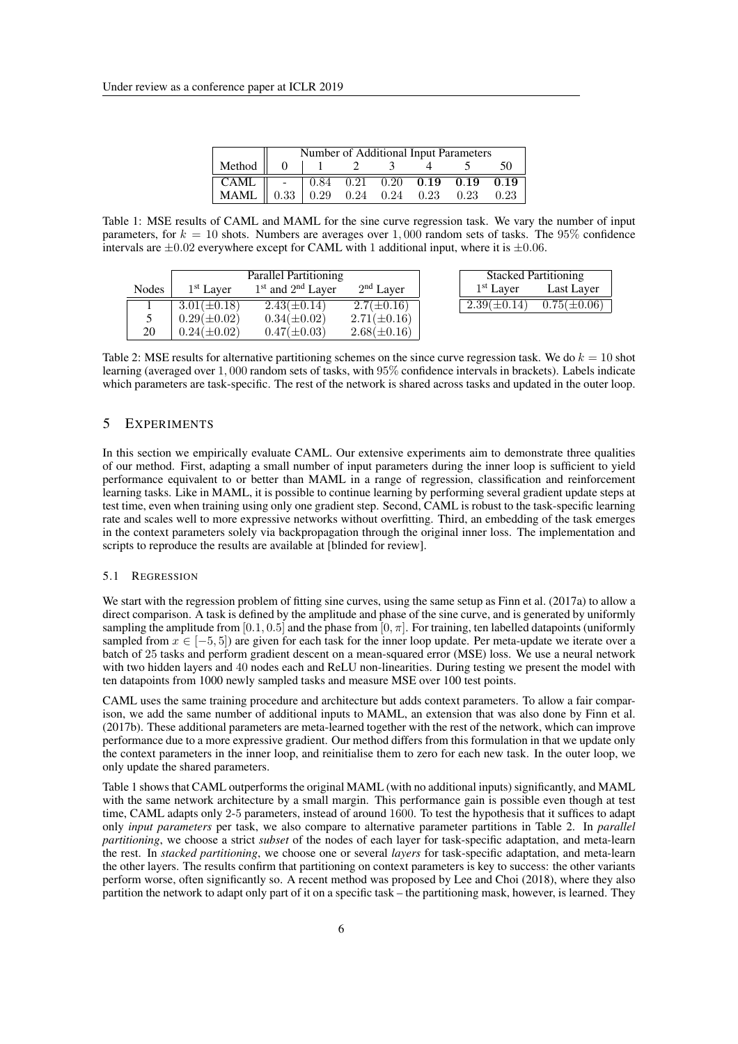|                                                                                                      | Number of Additional Input Parameters |  |  |  |  |  |    |  |
|------------------------------------------------------------------------------------------------------|---------------------------------------|--|--|--|--|--|----|--|
| Method $\begin{array}{ c c c c c } \hline 0 & 1 & 2 & 3 \end{array}$                                 |                                       |  |  |  |  |  | 50 |  |
| CAML $\parallel$ - $\parallel$ 0.84 0.21 0.20 0.19 0.19 0.19                                         |                                       |  |  |  |  |  |    |  |
| $\begin{tabular}{l cccccc} \bf{MAML} & 0.33 & 0.29 & 0.24 & 0.24 & 0.23 & 0.23 & 0.23 \end{tabular}$ |                                       |  |  |  |  |  |    |  |

Table 1: MSE results of CAML and MAML for the sine curve regression task. We vary the number of input parameters, for *k* = 10 shots. Numbers are averages over 1*,* 000 random sets of tasks. The 95% confidence intervals are *±*0*.*02 everywhere except for CAML with 1 additional input, where it is *±*0*.*06.

|              | Parallel Partitioning |                       |                       |  | <b>Stacked Partitioning</b> |                  |
|--------------|-----------------------|-----------------------|-----------------------|--|-----------------------------|------------------|
| <b>Nodes</b> | 1 <sup>st</sup> Layer | $1st$ and $2nd$ Layer | 2 <sup>nd</sup> Layer |  | $1st$ Layer                 | Last Layer       |
|              | $3.01(\pm 0.18)$      | $2.43(\pm 0.14)$      | $2.7(\pm 0.16)$       |  | $2.39(\pm 0.14)$            | $0.75(\pm 0.06)$ |
|              | $0.29(\pm 0.02)$      | $0.34(\pm 0.02)$      | $2.71(\pm 0.16)$      |  |                             |                  |
| 20           | $0.24(\pm 0.02)$      | $0.47(\pm 0.03)$      | $2.68(\pm 0.16)$      |  |                             |                  |

Table 2: MSE results for alternative partitioning schemes on the since curve regression task. We do *k* = 10 shot learning (averaged over 1*,* 000 random sets of tasks, with 95% confidence intervals in brackets). Labels indicate which parameters are task-specific. The rest of the network is shared across tasks and updated in the outer loop.

# 5 EXPERIMENTS

In this section we empirically evaluate CAML. Our extensive experiments aim to demonstrate three qualities of our method. First, adapting a small number of input parameters during the inner loop is sufficient to yield performance equivalent to or better than MAML in a range of regression, classification and reinforcement learning tasks. Like in MAML, it is possible to continue learning by performing several gradient update steps at test time, even when training using only one gradient step. Second, CAML is robust to the task-specific learning rate and scales well to more expressive networks without overfitting. Third, an embedding of the task emerges in the context parameters solely via backpropagation through the original inner loss. The implementation and scripts to reproduce the results are available at [blinded for review].

#### 5.1 REGRESSION

We start with the regression problem of fitting sine curves, using the same setup as Finn et al. (2017a) to allow a direct comparison. A task is defined by the amplitude and phase of the sine curve, and is generated by uniformly sampling the amplitude from [0.1, 0.5] and the phase from [0,  $\pi$ ]. For training, ten labelled datapoints (uniformly sampled from  $x \in [-5, 5]$ ) are given for each task for the inner loop update. Per meta-update we iterate over a batch of 25 tasks and perform gradient descent on a mean-squared error (MSE) loss. We use a neural network with two hidden layers and 40 nodes each and ReLU non-linearities. During testing we present the model with ten datapoints from 1000 newly sampled tasks and measure MSE over 100 test points.

CAML uses the same training procedure and architecture but adds context parameters. To allow a fair comparison, we add the same number of additional inputs to MAML, an extension that was also done by Finn et al. (2017b). These additional parameters are meta-learned together with the rest of the network, which can improve performance due to a more expressive gradient. Our method differs from this formulation in that we update only the context parameters in the inner loop, and reinitialise them to zero for each new task. In the outer loop, we only update the shared parameters.

Table 1 shows that CAML outperforms the original MAML (with no additional inputs) significantly, and MAML with the same network architecture by a small margin. This performance gain is possible even though at test time, CAML adapts only 2-5 parameters, instead of around 1600. To test the hypothesis that it suffices to adapt only *input parameters* per task, we also compare to alternative parameter partitions in Table 2. In *parallel partitioning*, we choose a strict *subset* of the nodes of each layer for task-specific adaptation, and meta-learn the rest. In *stacked partitioning*, we choose one or several *layers* for task-specific adaptation, and meta-learn the other layers. The results confirm that partitioning on context parameters is key to success: the other variants perform worse, often significantly so. A recent method was proposed by Lee and Choi (2018), where they also partition the network to adapt only part of it on a specific task – the partitioning mask, however, is learned. They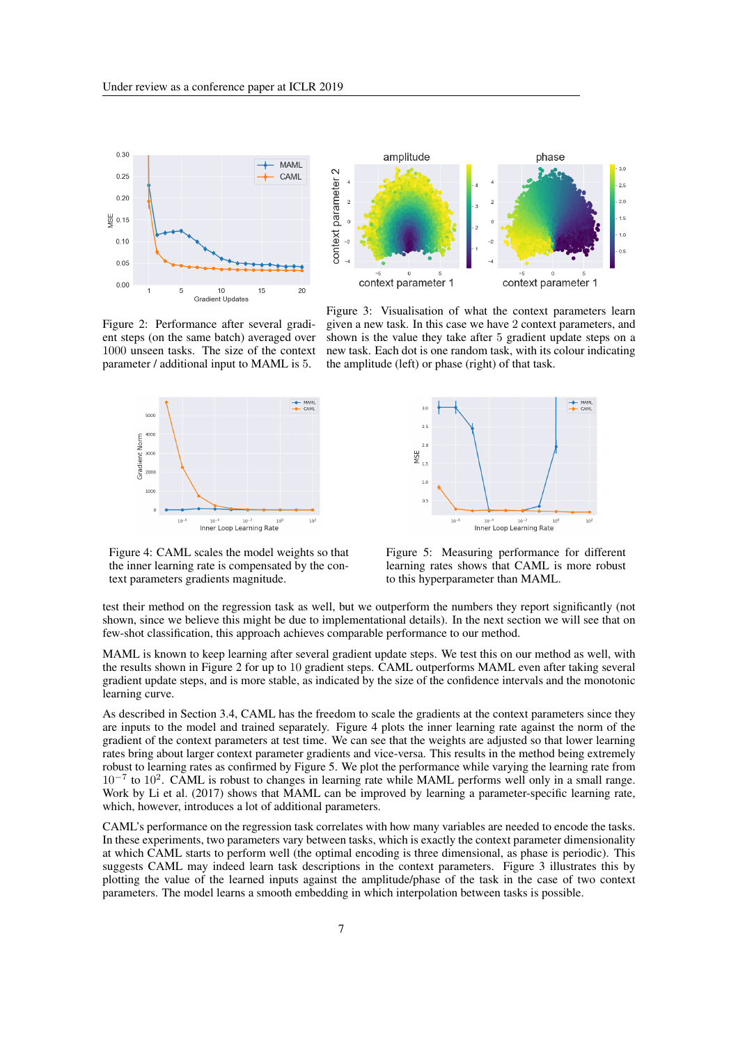



Figure 2: Performance after several gradient steps (on the same batch) averaged over 1000 unseen tasks. The size of the context parameter / additional input to MAML is 5.



Figure 3: Visualisation of what the context parameters learn given a new task. In this case we have 2 context parameters, and shown is the value they take after 5 gradient update steps on a new task. Each dot is one random task, with its colour indicating the amplitude (left) or phase (right) of that task.



Figure 4: CAML scales the model weights so that the inner learning rate is compensated by the context parameters gradients magnitude.

Figure 5: Measuring performance for different learning rates shows that CAML is more robust to this hyperparameter than MAML.

test their method on the regression task as well, but we outperform the numbers they report significantly (not shown, since we believe this might be due to implementational details). In the next section we will see that on few-shot classification, this approach achieves comparable performance to our method.

MAML is known to keep learning after several gradient update steps. We test this on our method as well, with the results shown in Figure 2 for up to 10 gradient steps. CAML outperforms MAML even after taking several gradient update steps, and is more stable, as indicated by the size of the confidence intervals and the monotonic learning curve.

As described in Section 3.4, CAML has the freedom to scale the gradients at the context parameters since they are inputs to the model and trained separately. Figure 4 plots the inner learning rate against the norm of the gradient of the context parameters at test time. We can see that the weights are adjusted so that lower learning rates bring about larger context parameter gradients and vice-versa. This results in the method being extremely robust to learning rates as confirmed by Figure 5. We plot the performance while varying the learning rate from  $10^{-7}$  to  $10^{2}$ . CAML is robust to changes in learning rate while MAML performs well only in a small range. Work by Li et al. (2017) shows that MAML can be improved by learning a parameter-specific learning rate, which, however, introduces a lot of additional parameters.

CAML's performance on the regression task correlates with how many variables are needed to encode the tasks. In these experiments, two parameters vary between tasks, which is exactly the context parameter dimensionality at which CAML starts to perform well (the optimal encoding is three dimensional, as phase is periodic). This suggests CAML may indeed learn task descriptions in the context parameters. Figure 3 illustrates this by plotting the value of the learned inputs against the amplitude/phase of the task in the case of two context parameters. The model learns a smooth embedding in which interpolation between tasks is possible.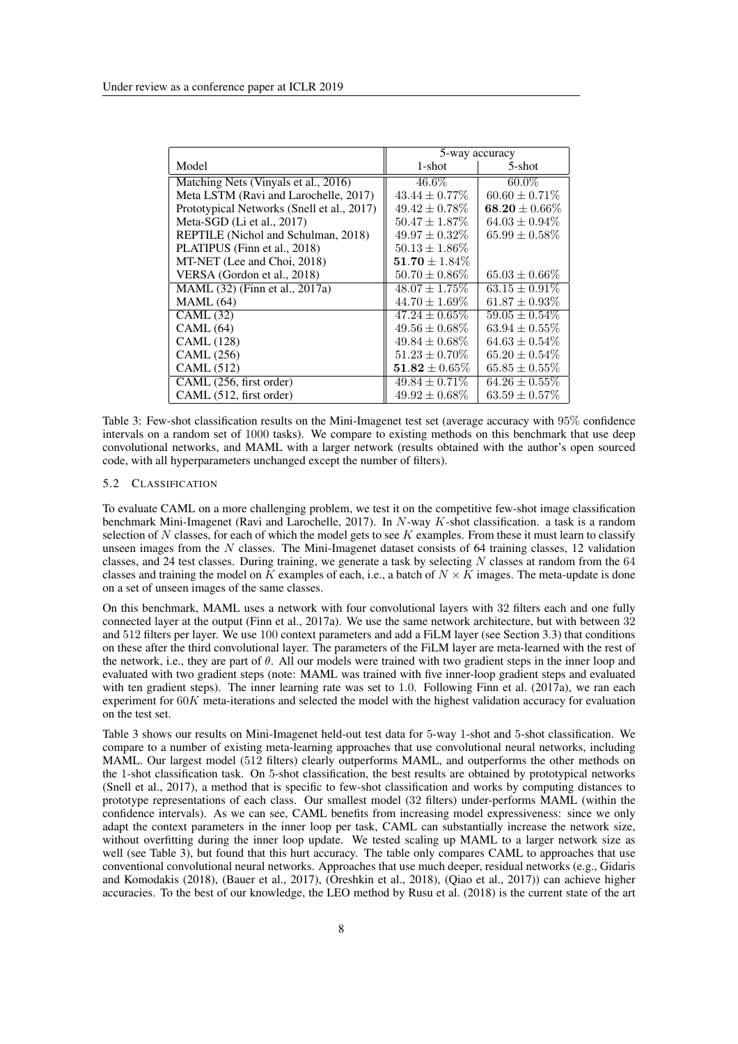|                                            | 5-way accuracy     |                    |  |
|--------------------------------------------|--------------------|--------------------|--|
| Model                                      | $1$ -shot          | $5$ -shot          |  |
| Matching Nets (Vinyals et al., 2016)       | $46.6\%$           | $60.0\%$           |  |
| Meta LSTM (Ravi and Larochelle, 2017)      | $43.44 \pm 0.77\%$ | $60.60 \pm 0.71\%$ |  |
| Prototypical Networks (Snell et al., 2017) | $49.42 \pm 0.78\%$ | $68.20 \pm 0.66\%$ |  |
| Meta-SGD (Li et al., 2017)                 | $50.47 \pm 1.87\%$ | $64.03 \pm 0.94\%$ |  |
| REPTILE (Nichol and Schulman, 2018)        | $49.97 + 0.32\%$   | $65.99 \pm 0.58\%$ |  |
| PLATIPUS (Finn et al., 2018)               | $50.13 \pm 1.86\%$ |                    |  |
| MT-NET (Lee and Choi, 2018)                | $51.70 \pm 1.84\%$ |                    |  |
| VERSA (Gordon et al., 2018)                | $50.70 \pm 0.86\%$ | $65.03 \pm 0.66\%$ |  |
| MAML (32) (Finn et al., 2017a)             | $48.07 \pm 1.75\%$ | $63.15 \pm 0.91\%$ |  |
| <b>MAML</b> (64)                           | $44.70 \pm 1.69\%$ | $61.87 \pm 0.93\%$ |  |
| CAML(32)                                   | $47.24 \pm 0.65\%$ | $59.05 \pm 0.54\%$ |  |
| CAML(64)                                   | $49.56 \pm 0.68\%$ | $63.94 \pm 0.55\%$ |  |
| <b>CAML</b> (128)                          | $49.84 \pm 0.68\%$ | $64.63 \pm 0.54\%$ |  |
| <b>CAML</b> (256)                          | $51.23 \pm 0.70\%$ | $65.20 \pm 0.54\%$ |  |
| <b>CAML</b> (512)                          | $51.82 \pm 0.65\%$ | $65.85 \pm 0.55\%$ |  |
| CAML (256, first order)                    | $49.84 \pm 0.71\%$ | $64.26 \pm 0.55\%$ |  |
| CAML (512, first order)                    | $49.92 \pm 0.68\%$ | $63.59 \pm 0.57\%$ |  |

Table 3: Few-shot classification results on the Mini-Imagenet test set (average accuracy with 95% confidence intervals on a random set of 1000 tasks). We compare to existing methods on this benchmark that use deep convolutional networks, and MAML with a larger network (results obtained with the author's open sourced code, with all hyperparameters unchanged except the number of filters).

#### 5.2 CLASSIFICATION

To evaluate CAML on a more challenging problem, we test it on the competitive few-shot image classification benchmark Mini-Imagenet (Ravi and Larochelle, 2017). In *N*-way *K*-shot classification. a task is a random selection of *N* classes, for each of which the model gets to see *K* examples. From these it must learn to classify unseen images from the *N* classes. The Mini-Imagenet dataset consists of 64 training classes, 12 validation classes, and 24 test classes. During training, we generate a task by selecting *N* classes at random from the 64 classes and training the model on  $\tilde{K}$  examples of each, i.e., a batch of  $N \times \tilde{K}$  images. The meta-update is done on a set of unseen images of the same classes.

On this benchmark, MAML uses a network with four convolutional layers with 32 filters each and one fully connected layer at the output (Finn et al., 2017a). We use the same network architecture, but with between 32 and 512 filters per layer. We use 100 context parameters and add a FiLM layer (see Section 3.3) that conditions on these after the third convolutional layer. The parameters of the FiLM layer are meta-learned with the rest of the network, i.e., they are part of  $\theta$ . All our models were trained with two gradient steps in the inner loop and evaluated with two gradient steps (note: MAML was trained with five inner-loop gradient steps and evaluated with ten gradient steps). The inner learning rate was set to 1.0. Following Finn et al. (2017a), we ran each experiment for 60*K* meta-iterations and selected the model with the highest validation accuracy for evaluation on the test set.

Table 3 shows our results on Mini-Imagenet held-out test data for 5-way 1-shot and 5-shot classification. We compare to a number of existing meta-learning approaches that use convolutional neural networks, including MAML. Our largest model (512 filters) clearly outperforms MAML, and outperforms the other methods on the 1-shot classification task. On 5-shot classification, the best results are obtained by prototypical networks (Snell et al., 2017), a method that is specific to few-shot classification and works by computing distances to prototype representations of each class. Our smallest model (32 filters) under-performs MAML (within the confidence intervals). As we can see, CAML benefits from increasing model expressiveness: since we only adapt the context parameters in the inner loop per task, CAML can substantially increase the network size, without overfitting during the inner loop update. We tested scaling up MAML to a larger network size as well (see Table 3), but found that this hurt accuracy. The table only compares CAML to approaches that use conventional convolutional neural networks. Approaches that use much deeper, residual networks (e.g., Gidaris and Komodakis (2018), (Bauer et al., 2017), (Oreshkin et al., 2018), (Qiao et al., 2017)) can achieve higher accuracies. To the best of our knowledge, the LEO method by Rusu et al. (2018) is the current state of the art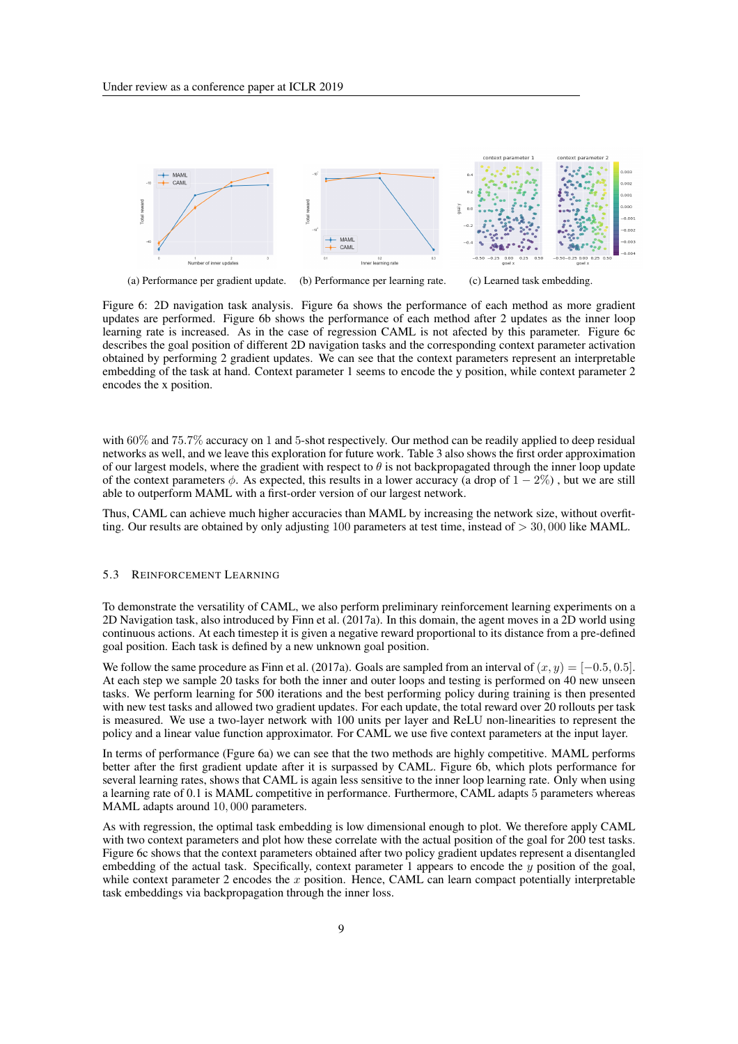

(a) Performance per gradient update. (b) Performance per learning rate. (c) Learned task embedding.

Figure 6: 2D navigation task analysis. Figure 6a shows the performance of each method as more gradient updates are performed. Figure 6b shows the performance of each method after 2 updates as the inner loop learning rate is increased. As in the case of regression CAML is not afected by this parameter. Figure 6c describes the goal position of different 2D navigation tasks and the corresponding context parameter activation obtained by performing 2 gradient updates. We can see that the context parameters represent an interpretable embedding of the task at hand. Context parameter 1 seems to encode the y position, while context parameter 2 encodes the x position.

with  $60\%$  and  $75.7\%$  accuracy on 1 and 5-shot respectively. Our method can be readily applied to deep residual networks as well, and we leave this exploration for future work. Table 3 also shows the first order approximation of our largest models, where the gradient with respect to  $\theta$  is not backpropagated through the inner loop update of the context parameters  $\phi$ . As expected, this results in a lower accuracy (a drop of  $1 - 2\%$ ), but we are still able to outperform MAML with a first-order version of our largest network.

Thus, CAML can achieve much higher accuracies than MAML by increasing the network size, without overfitting. Our results are obtained by only adjusting 100 parameters at test time, instead of *>* 30*,* 000 like MAML.

### 5.3 REINFORCEMENT LEARNING

To demonstrate the versatility of CAML, we also perform preliminary reinforcement learning experiments on a 2D Navigation task, also introduced by Finn et al. (2017a). In this domain, the agent moves in a 2D world using continuous actions. At each timestep it is given a negative reward proportional to its distance from a pre-defined goal position. Each task is defined by a new unknown goal position.

We follow the same procedure as Finn et al. (2017a). Goals are sampled from an interval of  $(x, y) = [-0.5, 0.5]$ . At each step we sample 20 tasks for both the inner and outer loops and testing is performed on 40 new unseen tasks. We perform learning for 500 iterations and the best performing policy during training is then presented with new test tasks and allowed two gradient updates. For each update, the total reward over 20 rollouts per task is measured. We use a two-layer network with 100 units per layer and ReLU non-linearities to represent the policy and a linear value function approximator. For CAML we use five context parameters at the input layer.

In terms of performance (Fgure 6a) we can see that the two methods are highly competitive. MAML performs better after the first gradient update after it is surpassed by CAML. Figure 6b, which plots performance for several learning rates, shows that CAML is again less sensitive to the inner loop learning rate. Only when using a learning rate of 0.1 is MAML competitive in performance. Furthermore, CAML adapts 5 parameters whereas MAML adapts around 10*,* 000 parameters.

As with regression, the optimal task embedding is low dimensional enough to plot. We therefore apply CAML with two context parameters and plot how these correlate with the actual position of the goal for 200 test tasks. Figure 6c shows that the context parameters obtained after two policy gradient updates represent a disentangled embedding of the actual task. Specifically, context parameter 1 appears to encode the *y* position of the goal, while context parameter 2 encodes the *x* position. Hence, CAML can learn compact potentially interpretable task embeddings via backpropagation through the inner loss.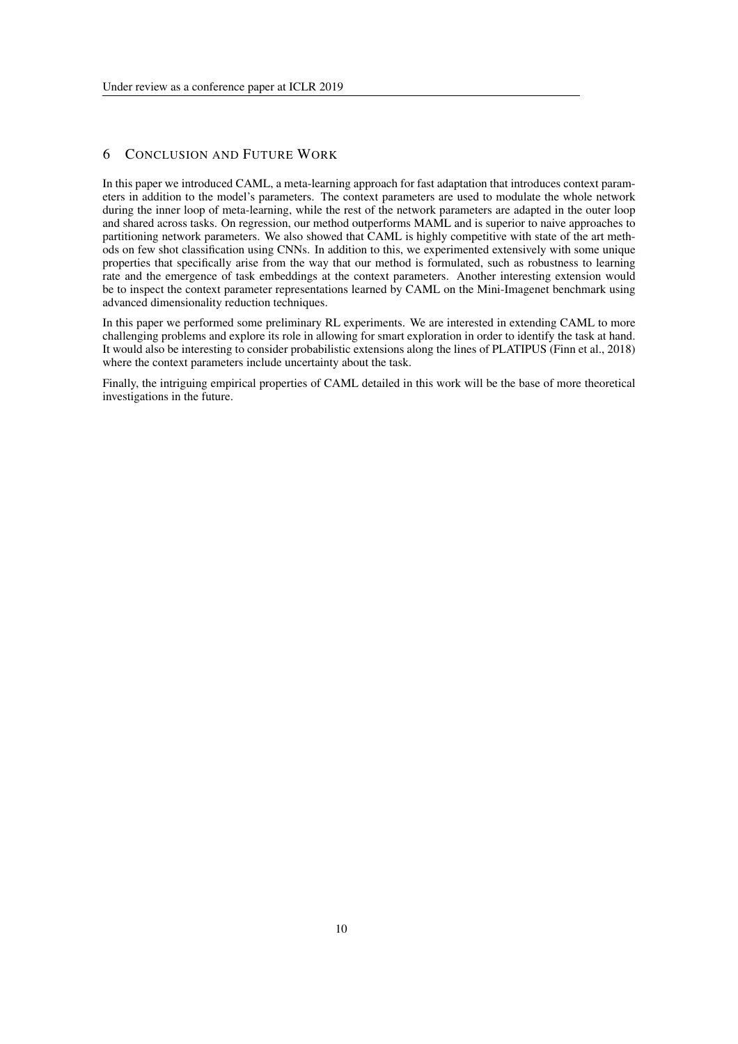# 6 CONCLUSION AND FUTURE WORK

In this paper we introduced CAML, a meta-learning approach for fast adaptation that introduces context parameters in addition to the model's parameters. The context parameters are used to modulate the whole network during the inner loop of meta-learning, while the rest of the network parameters are adapted in the outer loop and shared across tasks. On regression, our method outperforms MAML and is superior to naive approaches to partitioning network parameters. We also showed that CAML is highly competitive with state of the art methods on few shot classification using CNNs. In addition to this, we experimented extensively with some unique properties that specifically arise from the way that our method is formulated, such as robustness to learning rate and the emergence of task embeddings at the context parameters. Another interesting extension would be to inspect the context parameter representations learned by CAML on the Mini-Imagenet benchmark using advanced dimensionality reduction techniques.

In this paper we performed some preliminary RL experiments. We are interested in extending CAML to more challenging problems and explore its role in allowing for smart exploration in order to identify the task at hand. It would also be interesting to consider probabilistic extensions along the lines of PLATIPUS (Finn et al., 2018) where the context parameters include uncertainty about the task.

Finally, the intriguing empirical properties of CAML detailed in this work will be the base of more theoretical investigations in the future.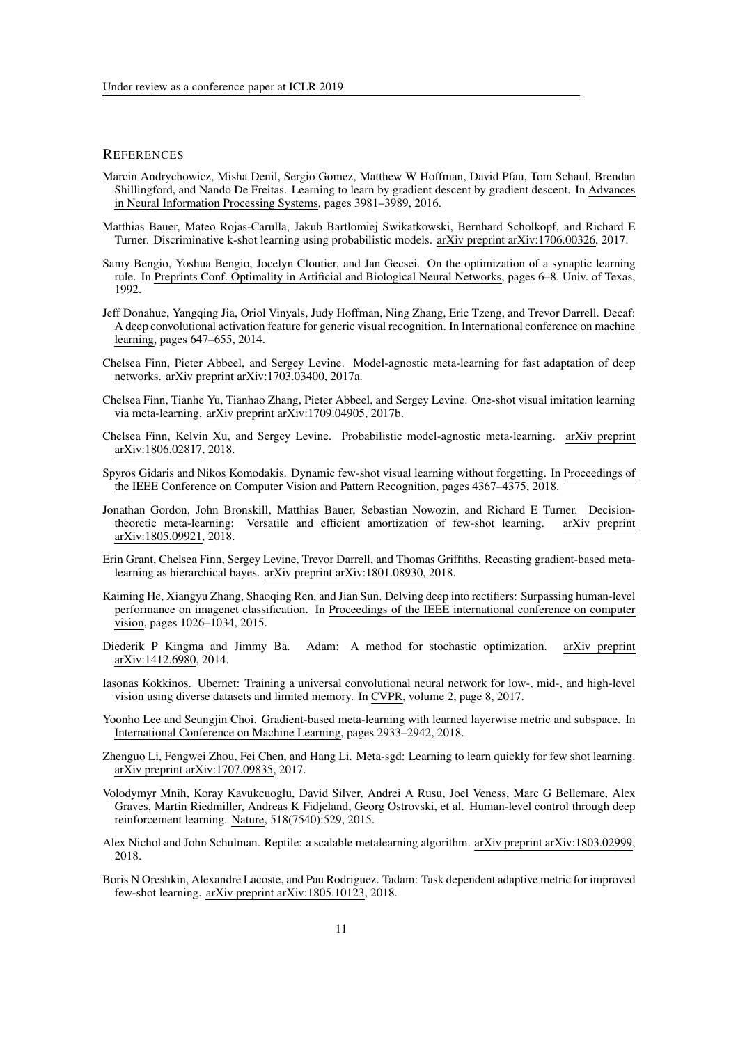### **REFERENCES**

- Marcin Andrychowicz, Misha Denil, Sergio Gomez, Matthew W Hoffman, David Pfau, Tom Schaul, Brendan Shillingford, and Nando De Freitas. Learning to learn by gradient descent by gradient descent. In Advances in Neural Information Processing Systems, pages 3981–3989, 2016.
- Matthias Bauer, Mateo Rojas-Carulla, Jakub Bartlomiej Swikatkowski, Bernhard Scholkopf, and Richard E Turner. Discriminative k-shot learning using probabilistic models. arXiv preprint arXiv:1706.00326, 2017.
- Samy Bengio, Yoshua Bengio, Jocelyn Cloutier, and Jan Gecsei. On the optimization of a synaptic learning rule. In Preprints Conf. Optimality in Artificial and Biological Neural Networks, pages 6–8. Univ. of Texas, 1992.
- Jeff Donahue, Yangqing Jia, Oriol Vinyals, Judy Hoffman, Ning Zhang, Eric Tzeng, and Trevor Darrell. Decaf: A deep convolutional activation feature for generic visual recognition. In International conference on machine learning, pages 647–655, 2014.
- Chelsea Finn, Pieter Abbeel, and Sergey Levine. Model-agnostic meta-learning for fast adaptation of deep networks. arXiv preprint arXiv:1703.03400, 2017a.
- Chelsea Finn, Tianhe Yu, Tianhao Zhang, Pieter Abbeel, and Sergey Levine. One-shot visual imitation learning via meta-learning. arXiv preprint arXiv:1709.04905, 2017b.
- Chelsea Finn, Kelvin Xu, and Sergey Levine. Probabilistic model-agnostic meta-learning. arXiv preprint arXiv:1806.02817, 2018.
- Spyros Gidaris and Nikos Komodakis. Dynamic few-shot visual learning without forgetting. In Proceedings of the IEEE Conference on Computer Vision and Pattern Recognition, pages 4367–4375, 2018.
- Jonathan Gordon, John Bronskill, Matthias Bauer, Sebastian Nowozin, and Richard E Turner. Decisiontheoretic meta-learning: Versatile and efficient amortization of few-shot learning. arXiv preprint arXiv:1805.09921, 2018.
- Erin Grant, Chelsea Finn, Sergey Levine, Trevor Darrell, and Thomas Griffiths. Recasting gradient-based metalearning as hierarchical bayes. arXiv preprint arXiv:1801.08930, 2018.
- Kaiming He, Xiangyu Zhang, Shaoqing Ren, and Jian Sun. Delving deep into rectifiers: Surpassing human-level performance on imagenet classification. In Proceedings of the IEEE international conference on computer vision, pages 1026–1034, 2015.
- Diederik P Kingma and Jimmy Ba. Adam: A method for stochastic optimization. arXiv preprint arXiv:1412.6980, 2014.
- Iasonas Kokkinos. Ubernet: Training a universal convolutional neural network for low-, mid-, and high-level vision using diverse datasets and limited memory. In CVPR, volume 2, page 8, 2017.
- Yoonho Lee and Seungjin Choi. Gradient-based meta-learning with learned layerwise metric and subspace. In International Conference on Machine Learning, pages 2933–2942, 2018.
- Zhenguo Li, Fengwei Zhou, Fei Chen, and Hang Li. Meta-sgd: Learning to learn quickly for few shot learning. arXiv preprint arXiv:1707.09835, 2017.
- Volodymyr Mnih, Koray Kavukcuoglu, David Silver, Andrei A Rusu, Joel Veness, Marc G Bellemare, Alex Graves, Martin Riedmiller, Andreas K Fidjeland, Georg Ostrovski, et al. Human-level control through deep reinforcement learning. Nature, 518(7540):529, 2015.
- Alex Nichol and John Schulman. Reptile: a scalable metalearning algorithm. arXiv preprint arXiv:1803.02999, 2018.
- Boris N Oreshkin, Alexandre Lacoste, and Pau Rodriguez. Tadam: Task dependent adaptive metric for improved few-shot learning. arXiv preprint arXiv:1805.10123, 2018.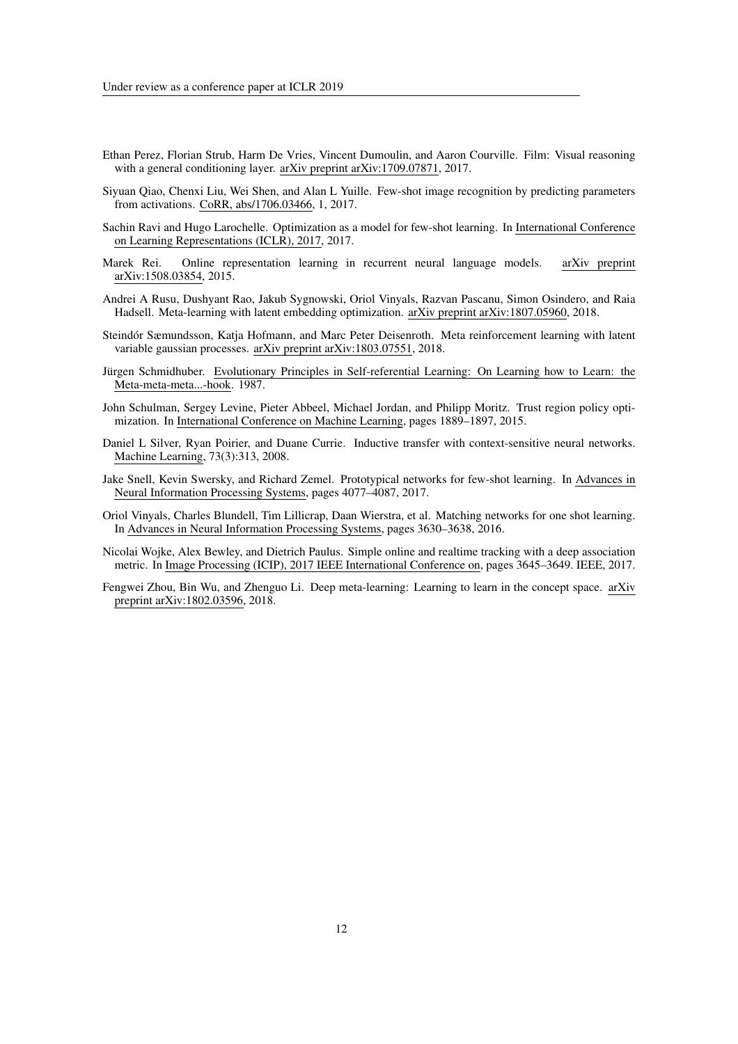- Ethan Perez, Florian Strub, Harm De Vries, Vincent Dumoulin, and Aaron Courville. Film: Visual reasoning with a general conditioning layer. arXiv preprint arXiv:1709.07871, 2017.
- Siyuan Qiao, Chenxi Liu, Wei Shen, and Alan L Yuille. Few-shot image recognition by predicting parameters from activations. CoRR, abs/1706.03466, 1, 2017.
- Sachin Ravi and Hugo Larochelle. Optimization as a model for few-shot learning. In International Conference on Learning Representations (ICLR), 2017, 2017.
- Marek Rei. Online representation learning in recurrent neural language models. arXiv preprint arXiv:1508.03854, 2015.
- Andrei A Rusu, Dushyant Rao, Jakub Sygnowski, Oriol Vinyals, Razvan Pascanu, Simon Osindero, and Raia Hadsell. Meta-learning with latent embedding optimization. arXiv preprint arXiv:1807.05960, 2018.
- Steindor Sæmundsson, Katja Hofmann, and Marc Peter Deisenroth. Meta reinforcement learning with latent ´ variable gaussian processes. arXiv preprint arXiv:1803.07551, 2018.
- Jürgen Schmidhuber. Evolutionary Principles in Self-referential Learning: On Learning how to Learn: the Meta-meta-meta...-hook. 1987.
- John Schulman, Sergey Levine, Pieter Abbeel, Michael Jordan, and Philipp Moritz. Trust region policy optimization. In International Conference on Machine Learning, pages 1889–1897, 2015.
- Daniel L Silver, Ryan Poirier, and Duane Currie. Inductive transfer with context-sensitive neural networks. Machine Learning, 73(3):313, 2008.
- Jake Snell, Kevin Swersky, and Richard Zemel. Prototypical networks for few-shot learning. In Advances in Neural Information Processing Systems, pages 4077–4087, 2017.
- Oriol Vinyals, Charles Blundell, Tim Lillicrap, Daan Wierstra, et al. Matching networks for one shot learning. In Advances in Neural Information Processing Systems, pages 3630–3638, 2016.
- Nicolai Wojke, Alex Bewley, and Dietrich Paulus. Simple online and realtime tracking with a deep association metric. In Image Processing (ICIP), 2017 IEEE International Conference on, pages 3645–3649. IEEE, 2017.
- Fengwei Zhou, Bin Wu, and Zhenguo Li. Deep meta-learning: Learning to learn in the concept space. arXiv preprint arXiv:1802.03596, 2018.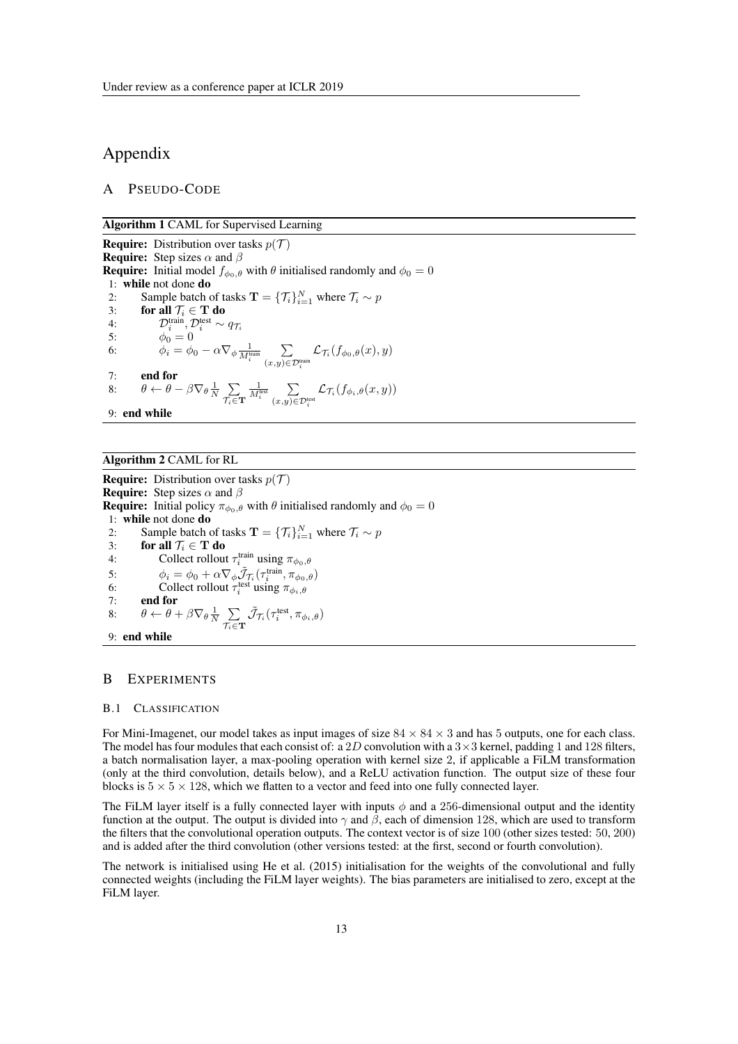# Appendix

# A PSEUDO-CODE

Algorithm 1 CAML for Supervised Learning

**Require:** Distribution over tasks  $p(\mathcal{T})$ **Require:** Step sizes  $\alpha$  and  $\beta$ **Require:** Initial model  $f_{\phi_0, \theta}$  with  $\theta$  initialised randomly and  $\phi_0 = 0$ 1: **while** not done **do**<br>2: Sample batch of 2: Sample batch of tasks  $\mathbf{T} = {\mathcal{T}_i}_{i=1}^N$  where  $\mathcal{T}_i \sim p$ 3: for all  $\mathcal{T}_i \in \mathbf{T}$  do 4:  $\mathcal{D}_i^{\text{train}}, \mathcal{D}_i^{\text{test}} \sim q_{\mathcal{T}_i}$ 5:  $\phi_0 = 0$ 6:  $\phi_i = \phi_0 - \alpha \nabla_\phi \frac{1}{M_i^{\text{train}}} \sum_{(\alpha, \beta) \in \mathcal{C}}$  $\sum_{(x,y)\in\mathcal{D}_i^{\text{train}}} \mathcal{L}_{\mathcal{T}_i}(f_{\phi_0,\theta}(x),y)$ 7: end for 8:  $\theta \leftarrow \theta - \beta \nabla_{\theta} \frac{1}{N} \sum_{\tau \in \mathbb{R}^N}$  $\tau_i \in \mathbf{T}$  $\frac{1}{M_i^{\text{test}}}$  $\sum_{(x,y)\in\mathcal{D}_i^{\text{test}}}\mathcal{L}_{\mathcal{T}_i}(f_{\phi_i,\theta}(x,y))$ 9: end while

# Algorithm 2 CAML for RL

**Require:** Distribution over tasks  $p(\mathcal{T})$ **Require:** Step sizes  $\alpha$  and  $\beta$ **Require:** Initial policy  $\pi_{\phi_0,\theta}$  with  $\theta$  initialised randomly and  $\phi_0 = 0$ 1: while not done do 2: Sample batch of tasks  $\mathbf{T} = {\mathcal{T}_i}_{i=1}^N$  where  $\mathcal{T}_i \sim p$ 3: **for all**  $\mathcal{T}_i \in \mathbf{T}$  **do**<br>4: Collect rollout  $\tau_i^{\text{train}}$  using  $\pi_{\phi_0, \theta}$ 5:  $\phi_i = \phi_0 + \alpha \nabla_\phi \tilde{\mathcal{J}}_{\mathcal{I}_i}(\tau_i^{\text{train}}, \pi_{\phi_0, \theta})$ 6: Collect rollout  $\tau_i^{\text{test}}$  using  $\pi_{\phi_i, \theta}$ 7: end for 8:  $\theta \leftarrow \theta + \beta \nabla_{\theta} \frac{1}{N} \sum_{\tau \in \mathcal{T}}$  $\sum_{\mathcal{T}_i \in \mathbf{T}} \tilde{\mathcal{J}}_{\mathcal{T}_i}(\tau^{\text{test}}_i, \pi_{\phi_i, \theta})$ 9: end while

#### B EXPERIMENTS

#### B.1 CLASSIFICATION

For Mini-Imagenet, our model takes as input images of size  $84 \times 84 \times 3$  and has 5 outputs, one for each class. The model has four modules that each consist of: a 2*D* convolution with a  $3 \times 3$  kernel, padding 1 and 128 filters, a batch normalisation layer, a max-pooling operation with kernel size 2, if applicable a FiLM transformation (only at the third convolution, details below), and a ReLU activation function. The output size of these four blocks is  $5 \times 5 \times 128$ , which we flatten to a vector and feed into one fully connected layer.

The FiLM layer itself is a fully connected layer with inputs  $\phi$  and a 256-dimensional output and the identity function at the output. The output is divided into  $\gamma$  and  $\beta$ , each of dimension 128, which are used to transform the filters that the convolutional operation outputs. The context vector is of size 100 (other sizes tested: 50, 200) and is added after the third convolution (other versions tested: at the first, second or fourth convolution).

The network is initialised using He et al. (2015) initialisation for the weights of the convolutional and fully connected weights (including the FiLM layer weights). The bias parameters are initialised to zero, except at the FiLM layer.